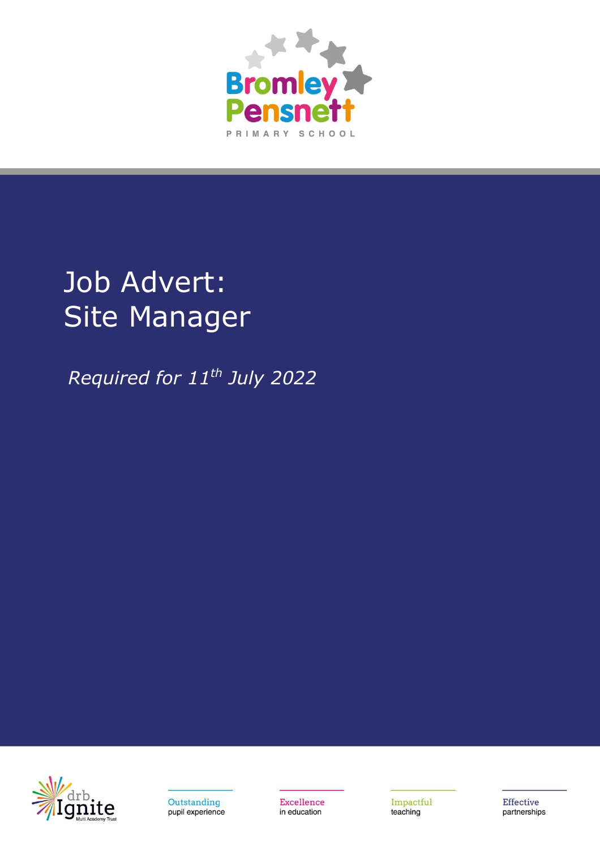

# Job Advert: Site Manager

*Required for 11th July 2022*





Excellence in education

Impactful teaching

Effective partnerships